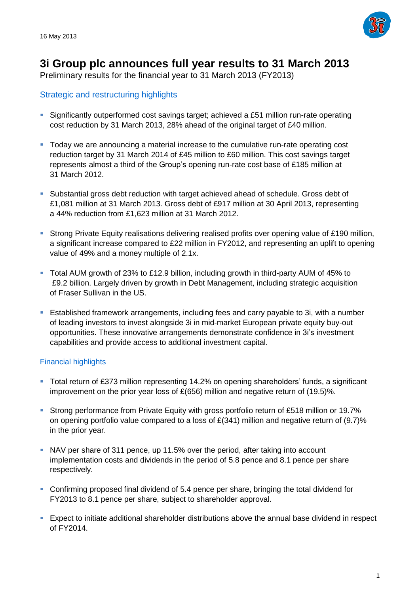

# **3i Group plc announces full year results to 31 March 2013**

Preliminary results for the financial year to 31 March 2013 (FY2013)

# Strategic and restructuring highlights

- Significantly outperformed cost savings target; achieved a £51 million run-rate operating cost reduction by 31 March 2013, 28% ahead of the original target of £40 million.
- Today we are announcing a material increase to the cumulative run-rate operating cost reduction target by 31 March 2014 of £45 million to £60 million. This cost savings target represents almost a third of the Group's opening run-rate cost base of £185 million at 31 March 2012.
- Substantial gross debt reduction with target achieved ahead of schedule. Gross debt of £1,081 million at 31 March 2013. Gross debt of £917 million at 30 April 2013, representing a 44% reduction from £1,623 million at 31 March 2012.
- Strong Private Equity realisations delivering realised profits over opening value of £190 million, a significant increase compared to £22 million in FY2012, and representing an uplift to opening value of 49% and a money multiple of 2.1x.
- Total AUM growth of 23% to £12.9 billion, including growth in third-party AUM of 45% to £9.2 billion. Largely driven by growth in Debt Management, including strategic acquisition of Fraser Sullivan in the US.
- Established framework arrangements, including fees and carry payable to 3i, with a number of leading investors to invest alongside 3i in mid-market European private equity buy-out opportunities. These innovative arrangements demonstrate confidence in 3i's investment capabilities and provide access to additional investment capital.

### Financial highlights

- Total return of £373 million representing 14.2% on opening shareholders' funds, a significant improvement on the prior year loss of £(656) million and negative return of (19.5)%.
- Strong performance from Private Equity with gross portfolio return of £518 million or 19.7% on opening portfolio value compared to a loss of  $E(341)$  million and negative return of (9.7)% in the prior year.
- NAV per share of 311 pence, up 11.5% over the period, after taking into account implementation costs and dividends in the period of 5.8 pence and 8.1 pence per share respectively.
- Confirming proposed final dividend of 5.4 pence per share, bringing the total dividend for FY2013 to 8.1 pence per share, subject to shareholder approval.
- Expect to initiate additional shareholder distributions above the annual base dividend in respect of FY2014.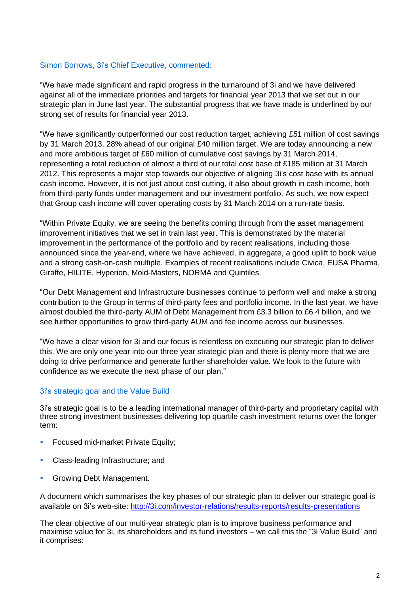#### Simon Borrows, 3i's Chief Executive, commented:

"We have made significant and rapid progress in the turnaround of 3i and we have delivered against all of the immediate priorities and targets for financial year 2013 that we set out in our strategic plan in June last year. The substantial progress that we have made is underlined by our strong set of results for financial year 2013.

"We have significantly outperformed our cost reduction target, achieving £51 million of cost savings by 31 March 2013, 28% ahead of our original £40 million target. We are today announcing a new and more ambitious target of £60 million of cumulative cost savings by 31 March 2014, representing a total reduction of almost a third of our total cost base of £185 million at 31 March 2012. This represents a major step towards our objective of aligning 3i's cost base with its annual cash income. However, it is not just about cost cutting, it also about growth in cash income, both from third-party funds under management and our investment portfolio. As such, we now expect that Group cash income will cover operating costs by 31 March 2014 on a run-rate basis.

"Within Private Equity, we are seeing the benefits coming through from the asset management improvement initiatives that we set in train last year. This is demonstrated by the material improvement in the performance of the portfolio and by recent realisations, including those announced since the year-end, where we have achieved, in aggregate, a good uplift to book value and a strong cash-on-cash multiple. Examples of recent realisations include Civica, EUSA Pharma, Giraffe, HILITE, Hyperion, Mold-Masters, NORMA and Quintiles.

"Our Debt Management and Infrastructure businesses continue to perform well and make a strong contribution to the Group in terms of third-party fees and portfolio income. In the last year, we have almost doubled the third-party AUM of Debt Management from £3.3 billion to £6.4 billion, and we see further opportunities to grow third-party AUM and fee income across our businesses.

"We have a clear vision for 3i and our focus is relentless on executing our strategic plan to deliver this. We are only one year into our three year strategic plan and there is plenty more that we are doing to drive performance and generate further shareholder value. We look to the future with confidence as we execute the next phase of our plan."

### 3i's strategic goal and the Value Build

3i's strategic goal is to be a leading international manager of third-party and proprietary capital with three strong investment businesses delivering top quartile cash investment returns over the longer term:

- **Focused mid-market Private Equity;**
- **Class-leading Infrastructure; and**
- Growing Debt Management.

A document which summarises the key phases of our strategic plan to deliver our strategic goal is available on 3i's web-site: <http://3i.com/investor-relations/results-reports/results-presentations>

The clear objective of our multi-year strategic plan is to improve business performance and maximise value for 3i, its shareholders and its fund investors – we call this the "3i Value Build" and it comprises: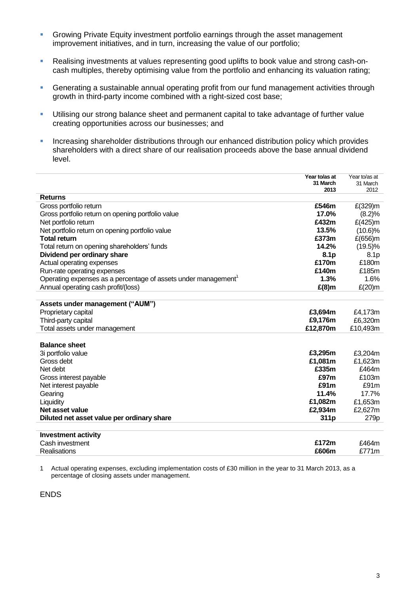- **Growing Private Equity investment portfolio earnings through the asset management** improvement initiatives, and in turn, increasing the value of our portfolio;
- Realising investments at values representing good uplifts to book value and strong cash-oncash multiples, thereby optimising value from the portfolio and enhancing its valuation rating;
- Generating a sustainable annual operating profit from our fund management activities through growth in third-party income combined with a right-sized cost base;
- Utilising our strong balance sheet and permanent capital to take advantage of further value creating opportunities across our businesses; and
- **Increasing shareholder distributions through our enhanced distribution policy which provides** shareholders with a direct share of our realisation proceeds above the base annual dividend level.

|                                                               | Year to/as at<br>31 March<br>2013 | Year to/as at<br>31 March<br>2012 |
|---------------------------------------------------------------|-----------------------------------|-----------------------------------|
| <b>Returns</b>                                                |                                   |                                   |
| Gross portfolio return                                        | £546m                             | $E(329)$ m                        |
| Gross portfolio return on opening portfolio value             | 17.0%                             | (8.2)%                            |
| Net portfolio return                                          | £432m                             | £(425)m                           |
| Net portfolio return on opening portfolio value               | 13.5%                             | $(10.6)\%$                        |
| <b>Total return</b>                                           | £373m                             | £(656)m                           |
| Total return on opening shareholders' funds                   | 14.2%                             | $(19.5)\%$                        |
| Dividend per ordinary share                                   | 8.1 <sub>p</sub>                  | 8.1p                              |
| Actual operating expenses                                     | £170m                             | £180m                             |
| Run-rate operating expenses                                   | £140m                             | £185m                             |
| Operating expenses as a percentage of assets under management | 1.3%                              | 1.6%                              |
| Annual operating cash profit/(loss)                           | $E(8)$ m                          | $E(20)$ m                         |
|                                                               |                                   |                                   |
| Assets under management ("AUM")                               |                                   |                                   |
| Proprietary capital                                           | £3,694m                           | £4,173m                           |
| Third-party capital                                           | £9,176m                           | £6,320m                           |
| Total assets under management                                 | £12,870m                          | £10,493m                          |
|                                                               |                                   |                                   |
| <b>Balance sheet</b>                                          |                                   |                                   |
| 3i portfolio value                                            | £3,295m                           | £3,204m                           |
| Gross debt                                                    | £1,081m                           | £1,623m                           |
| Net debt                                                      | £335m                             | £464m                             |
| Gross interest payable                                        | £97m                              | £103m                             |
| Net interest payable                                          | £91 <sub>m</sub>                  | £91m                              |
| Gearing                                                       | 11.4%                             | 17.7%                             |
| Liquidity                                                     | £1,082m                           | £1,653m                           |
| Net asset value                                               | £2,934m                           | £2,627m                           |
| Diluted net asset value per ordinary share                    | 311p                              | 279p                              |
|                                                               |                                   |                                   |
| <b>Investment activity</b>                                    |                                   |                                   |
| Cash investment                                               | £172m                             | £464m                             |
| Realisations                                                  | £606m                             | £771m                             |

1 Actual operating expenses, excluding implementation costs of £30 million in the year to 31 March 2013, as a percentage of closing assets under management.

ENDS